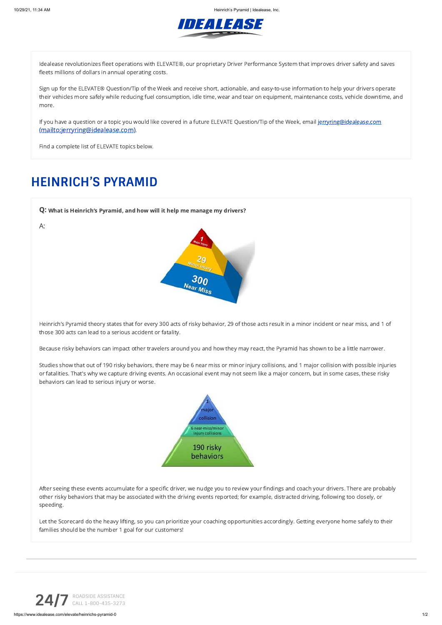10/29/21, 11:34 AM Heinrich's Pyramid | Idealease, Inc.



Idealease revolutionizes fleet operations with ELEVATE®, our proprietary Driver Performance System that improves driver safety and saves fleets millions of dollars in annual operating costs.

Sign up for the ELEVATE® Question/Tip of the Week and receive short, actionable, and easy-to-use information to help your drivers operate their vehicles more safely while reducing fuel consumption, idle time, wear and tear on equipment, maintenance costs, vehicle downtime, and more.

If you have a question or a topic you would like covered in a future ELEVATE Question/Tip of the Week, email jerryring@idealease.com [\(mailto:jerryring@idealease.com\)](mailto:jerryring@idealease.com)..

Find a complete list of ELEVATE topics below.

Q: What is Heinrich's Pyramid, and how will it help me manage my drivers? A: 300 Near Miss

## **HEINRICH'S PYRAMID**

Heinrich's Pyramid theory states that for every 300 acts of risky behavior, 29 of those acts result in a minor incident or near miss, and 1 of those 300 acts can lead to a serious accident or fatality.

Because risky behaviors can impact other travelers around you and how they may react, the Pyramid has shown to be a little narrower.

Studies show that out of 190 risky behaviors, there may be 6 near miss or minor injury collisions, and 1 major collision with possible injuries or fatalities. That's why we capture driving events. An occasional event may not seem like a major concern, but in some cases, these risky behaviors can lead to serious injury or worse.



After seeing these events accumulate for a specific driver, we nudge you to review your findings and coach your drivers. There are probably other risky behaviors that may be associated with the driving events reported; for example, distracted driving, following too closely, or speeding.

Let the Scorecard do the heavy lifting, so you can prioritize your coaching opportunities accordingly. Getting everyone home safely to their families should be the number 1 goal for our customers!